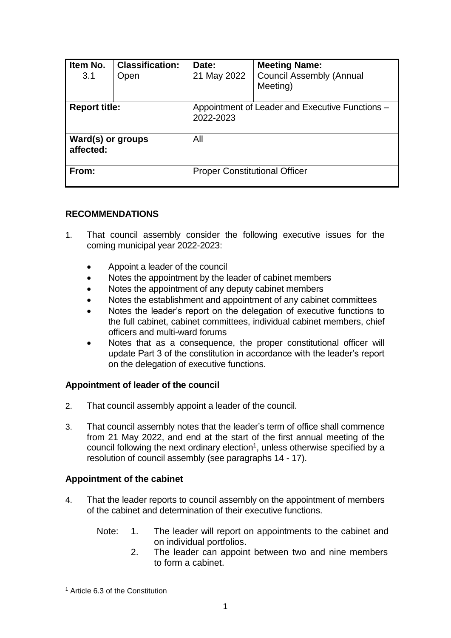| Item No.<br>3.1                | <b>Classification:</b><br>Open | Date:<br>21 May 2022                                         | <b>Meeting Name:</b><br><b>Council Assembly (Annual</b><br>Meeting) |  |
|--------------------------------|--------------------------------|--------------------------------------------------------------|---------------------------------------------------------------------|--|
| <b>Report title:</b>           |                                | Appointment of Leader and Executive Functions -<br>2022-2023 |                                                                     |  |
| Ward(s) or groups<br>affected: |                                | All                                                          |                                                                     |  |
| From:                          |                                | <b>Proper Constitutional Officer</b>                         |                                                                     |  |

## **RECOMMENDATIONS**

- 1. That council assembly consider the following executive issues for the coming municipal year 2022-2023:
	- Appoint a leader of the council
	- Notes the appointment by the leader of cabinet members
	- Notes the appointment of any deputy cabinet members
	- Notes the establishment and appointment of any cabinet committees
	- Notes the leader's report on the delegation of executive functions to the full cabinet, cabinet committees, individual cabinet members, chief officers and multi-ward forums
	- Notes that as a consequence, the proper constitutional officer will update Part 3 of the constitution in accordance with the leader's report on the delegation of executive functions.

### **Appointment of leader of the council**

- 2. That council assembly appoint a leader of the council.
- 3. That council assembly notes that the leader's term of office shall commence from 21 May 2022, and end at the start of the first annual meeting of the council following the next ordinary election<sup>1</sup>, unless otherwise specified by a resolution of council assembly (see paragraphs 14 - 17).

## **Appointment of the cabinet**

- 4. That the leader reports to council assembly on the appointment of members of the cabinet and determination of their executive functions.
	- Note: 1. The leader will report on appointments to the cabinet and on individual portfolios.
		- 2. The leader can appoint between two and nine members to form a cabinet.

 $\overline{a}$ 

<sup>1</sup> Article 6.3 of the Constitution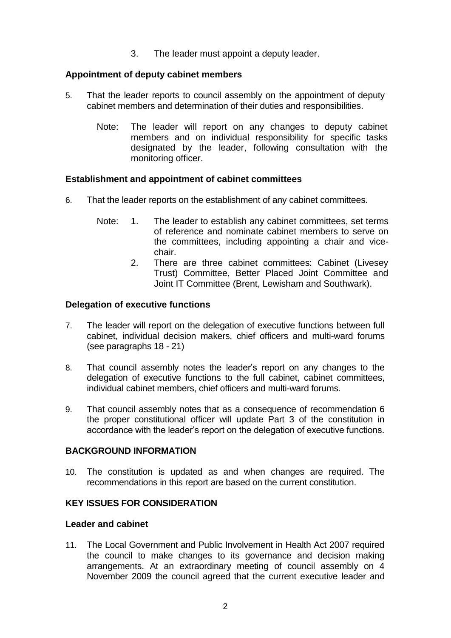3. The leader must appoint a deputy leader.

## **Appointment of deputy cabinet members**

- 5. That the leader reports to council assembly on the appointment of deputy cabinet members and determination of their duties and responsibilities.
	- Note: The leader will report on any changes to deputy cabinet members and on individual responsibility for specific tasks designated by the leader, following consultation with the monitoring officer.

#### **Establishment and appointment of cabinet committees**

- 6. That the leader reports on the establishment of any cabinet committees.
	- Note: 1. The leader to establish any cabinet committees, set terms of reference and nominate cabinet members to serve on the committees, including appointing a chair and vicechair.
		- 2. There are three cabinet committees: Cabinet (Livesey Trust) Committee, Better Placed Joint Committee and Joint IT Committee (Brent, Lewisham and Southwark).

#### **Delegation of executive functions**

- 7. The leader will report on the delegation of executive functions between full cabinet, individual decision makers, chief officers and multi-ward forums (see paragraphs 18 - 21)
- 8. That council assembly notes the leader's report on any changes to the delegation of executive functions to the full cabinet, cabinet committees, individual cabinet members, chief officers and multi-ward forums.
- 9. That council assembly notes that as a consequence of recommendation 6 the proper constitutional officer will update Part 3 of the constitution in accordance with the leader's report on the delegation of executive functions.

#### **BACKGROUND INFORMATION**

10. The constitution is updated as and when changes are required. The recommendations in this report are based on the current constitution.

# **KEY ISSUES FOR CONSIDERATION**

#### **Leader and cabinet**

11. The Local Government and Public Involvement in Health Act 2007 required the council to make changes to its governance and decision making arrangements. At an extraordinary meeting of council assembly on 4 November 2009 the council agreed that the current executive leader and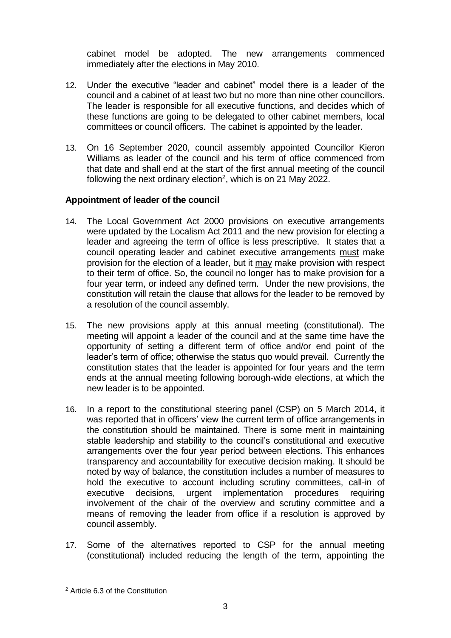cabinet model be adopted. The new arrangements commenced immediately after the elections in May 2010.

- 12. Under the executive "leader and cabinet" model there is a leader of the council and a cabinet of at least two but no more than nine other councillors. The leader is responsible for all executive functions, and decides which of these functions are going to be delegated to other cabinet members, local committees or council officers. The cabinet is appointed by the leader.
- 13. On 16 September 2020, council assembly appointed Councillor Kieron Williams as leader of the council and his term of office commenced from that date and shall end at the start of the first annual meeting of the council following the next ordinary election<sup>2</sup>, which is on 21 May 2022.

## **Appointment of leader of the council**

- 14. The Local Government Act 2000 provisions on executive arrangements were updated by the Localism Act 2011 and the new provision for electing a leader and agreeing the term of office is less prescriptive. It states that a council operating leader and cabinet executive arrangements must make provision for the election of a leader, but it may make provision with respect to their term of office. So, the council no longer has to make provision for a four year term, or indeed any defined term. Under the new provisions, the constitution will retain the clause that allows for the leader to be removed by a resolution of the council assembly.
- 15. The new provisions apply at this annual meeting (constitutional). The meeting will appoint a leader of the council and at the same time have the opportunity of setting a different term of office and/or end point of the leader's term of office; otherwise the status quo would prevail. Currently the constitution states that the leader is appointed for four years and the term ends at the annual meeting following borough-wide elections, at which the new leader is to be appointed.
- 16. In a report to the constitutional steering panel (CSP) on 5 March 2014, it was reported that in officers' view the current term of office arrangements in the constitution should be maintained. There is some merit in maintaining stable leadership and stability to the council's constitutional and executive arrangements over the four year period between elections. This enhances transparency and accountability for executive decision making. It should be noted by way of balance, the constitution includes a number of measures to hold the executive to account including scrutiny committees, call-in of executive decisions, urgent implementation procedures requiring involvement of the chair of the overview and scrutiny committee and a means of removing the leader from office if a resolution is approved by council assembly.
- 17. Some of the alternatives reported to CSP for the annual meeting (constitutional) included reducing the length of the term, appointing the

 $\overline{a}$ 

<sup>2</sup> Article 6.3 of the Constitution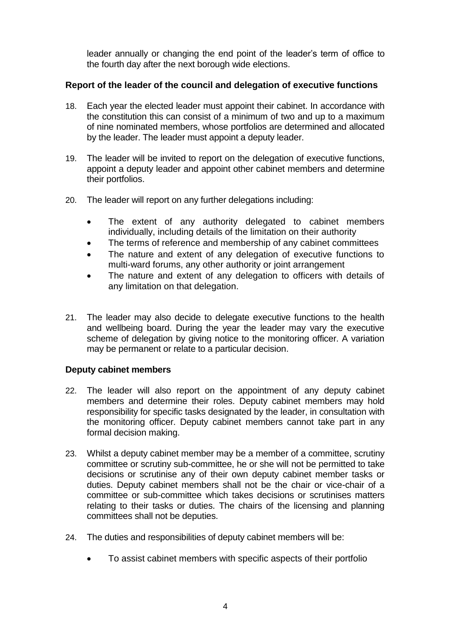leader annually or changing the end point of the leader's term of office to the fourth day after the next borough wide elections.

## **Report of the leader of the council and delegation of executive functions**

- 18. Each year the elected leader must appoint their cabinet. In accordance with the constitution this can consist of a minimum of two and up to a maximum of nine nominated members, whose portfolios are determined and allocated by the leader. The leader must appoint a deputy leader.
- 19. The leader will be invited to report on the delegation of executive functions, appoint a deputy leader and appoint other cabinet members and determine their portfolios.
- 20. The leader will report on any further delegations including:
	- The extent of any authority delegated to cabinet members individually, including details of the limitation on their authority
	- The terms of reference and membership of any cabinet committees
	- The nature and extent of any delegation of executive functions to multi-ward forums, any other authority or joint arrangement
	- The nature and extent of any delegation to officers with details of any limitation on that delegation.
- 21. The leader may also decide to delegate executive functions to the health and wellbeing board. During the year the leader may vary the executive scheme of delegation by giving notice to the monitoring officer. A variation may be permanent or relate to a particular decision.

### **Deputy cabinet members**

- 22. The leader will also report on the appointment of any deputy cabinet members and determine their roles. Deputy cabinet members may hold responsibility for specific tasks designated by the leader, in consultation with the monitoring officer. Deputy cabinet members cannot take part in any formal decision making.
- 23. Whilst a deputy cabinet member may be a member of a committee, scrutiny committee or scrutiny sub-committee, he or she will not be permitted to take decisions or scrutinise any of their own deputy cabinet member tasks or duties. Deputy cabinet members shall not be the chair or vice-chair of a committee or sub-committee which takes decisions or scrutinises matters relating to their tasks or duties. The chairs of the licensing and planning committees shall not be deputies.
- 24. The duties and responsibilities of deputy cabinet members will be:
	- To assist cabinet members with specific aspects of their portfolio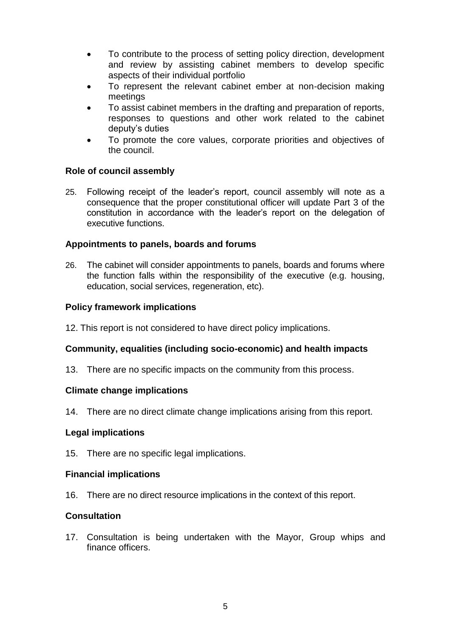- To contribute to the process of setting policy direction, development and review by assisting cabinet members to develop specific aspects of their individual portfolio
- To represent the relevant cabinet ember at non-decision making meetings
- To assist cabinet members in the drafting and preparation of reports, responses to questions and other work related to the cabinet deputy's duties
- To promote the core values, corporate priorities and objectives of the council.

## **Role of council assembly**

25. Following receipt of the leader's report, council assembly will note as a consequence that the proper constitutional officer will update Part 3 of the constitution in accordance with the leader's report on the delegation of executive functions.

### **Appointments to panels, boards and forums**

26. The cabinet will consider appointments to panels, boards and forums where the function falls within the responsibility of the executive (e.g. housing, education, social services, regeneration, etc).

## **Policy framework implications**

12. This report is not considered to have direct policy implications.

# **Community, equalities (including socio-economic) and health impacts**

13. There are no specific impacts on the community from this process.

### **Climate change implications**

14. There are no direct climate change implications arising from this report.

### **Legal implications**

15. There are no specific legal implications.

### **Financial implications**

16. There are no direct resource implications in the context of this report.

### **Consultation**

17. Consultation is being undertaken with the Mayor, Group whips and finance officers.